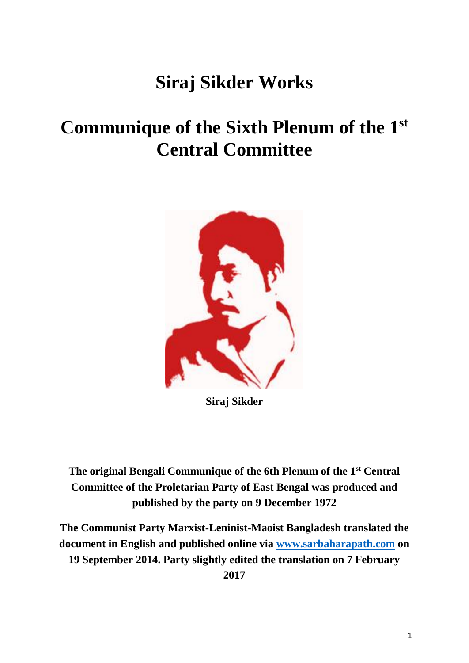## **Siraj Sikder Works**

## **Communique of the Sixth Plenum of the 1 st Central Committee**



**Siraj Sikder**

**The original Bengali Communique of the 6th Plenum of the 1st Central Committee of the Proletarian Party of East Bengal was produced and published by the party on 9 December 1972**

**The Communist Party Marxist-Leninist-Maoist Bangladesh translated the document in English and published online via [www.sarbaharapath.com](http://www.sarbaharapath.com/) on 19 September 2014. Party slightly edited the translation on 7 February 2017**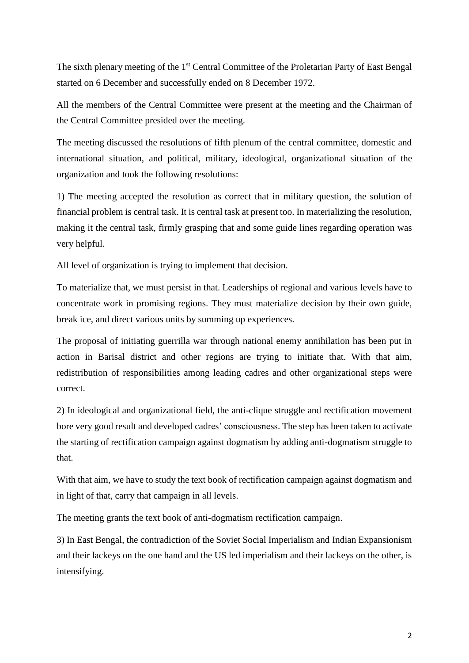The sixth plenary meeting of the 1<sup>st</sup> Central Committee of the Proletarian Party of East Bengal started on 6 December and successfully ended on 8 December 1972.

All the members of the Central Committee were present at the meeting and the Chairman of the Central Committee presided over the meeting.

The meeting discussed the resolutions of fifth plenum of the central committee, domestic and international situation, and political, military, ideological, organizational situation of the organization and took the following resolutions:

1) The meeting accepted the resolution as correct that in military question, the solution of financial problem is central task. It is central task at present too. In materializing the resolution, making it the central task, firmly grasping that and some guide lines regarding operation was very helpful.

All level of organization is trying to implement that decision.

To materialize that, we must persist in that. Leaderships of regional and various levels have to concentrate work in promising regions. They must materialize decision by their own guide, break ice, and direct various units by summing up experiences.

The proposal of initiating guerrilla war through national enemy annihilation has been put in action in Barisal district and other regions are trying to initiate that. With that aim, redistribution of responsibilities among leading cadres and other organizational steps were correct.

2) In ideological and organizational field, the anti-clique struggle and rectification movement bore very good result and developed cadres' consciousness. The step has been taken to activate the starting of rectification campaign against dogmatism by adding anti-dogmatism struggle to that.

With that aim, we have to study the text book of rectification campaign against dogmatism and in light of that, carry that campaign in all levels.

The meeting grants the text book of anti-dogmatism rectification campaign.

3) In East Bengal, the contradiction of the Soviet Social Imperialism and Indian Expansionism and their lackeys on the one hand and the US led imperialism and their lackeys on the other, is intensifying.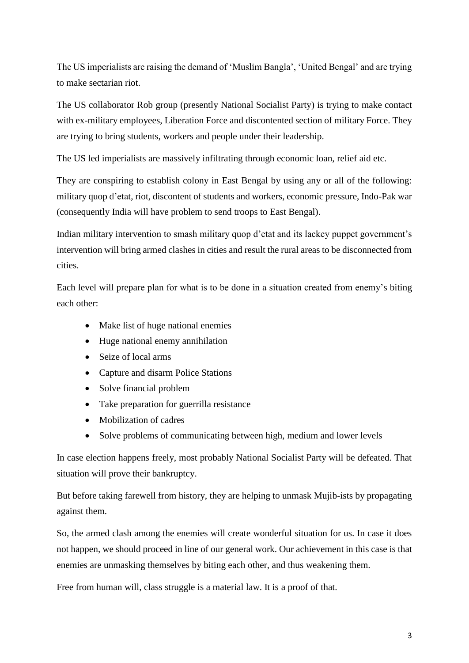The US imperialists are raising the demand of 'Muslim Bangla', 'United Bengal' and are trying to make sectarian riot.

The US collaborator Rob group (presently National Socialist Party) is trying to make contact with ex-military employees, Liberation Force and discontented section of military Force. They are trying to bring students, workers and people under their leadership.

The US led imperialists are massively infiltrating through economic loan, relief aid etc.

They are conspiring to establish colony in East Bengal by using any or all of the following: military quop d'etat, riot, discontent of students and workers, economic pressure, Indo-Pak war (consequently India will have problem to send troops to East Bengal).

Indian military intervention to smash military quop d'etat and its lackey puppet government's intervention will bring armed clashes in cities and result the rural areas to be disconnected from cities.

Each level will prepare plan for what is to be done in a situation created from enemy's biting each other:

- Make list of huge national enemies
- Huge national enemy annihilation
- Seize of local arms
- Capture and disarm Police Stations
- Solve financial problem
- Take preparation for guerrilla resistance
- Mobilization of cadres
- Solve problems of communicating between high, medium and lower levels

In case election happens freely, most probably National Socialist Party will be defeated. That situation will prove their bankruptcy.

But before taking farewell from history, they are helping to unmask Mujib-ists by propagating against them.

So, the armed clash among the enemies will create wonderful situation for us. In case it does not happen, we should proceed in line of our general work. Our achievement in this case is that enemies are unmasking themselves by biting each other, and thus weakening them.

Free from human will, class struggle is a material law. It is a proof of that.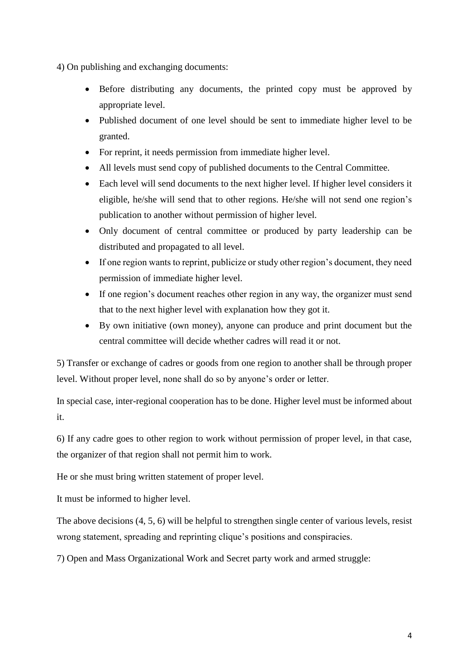4) On publishing and exchanging documents:

- Before distributing any documents, the printed copy must be approved by appropriate level.
- Published document of one level should be sent to immediate higher level to be granted.
- For reprint, it needs permission from immediate higher level.
- All levels must send copy of published documents to the Central Committee.
- Each level will send documents to the next higher level. If higher level considers it eligible, he/she will send that to other regions. He/she will not send one region's publication to another without permission of higher level.
- Only document of central committee or produced by party leadership can be distributed and propagated to all level.
- If one region wants to reprint, publicize or study other region's document, they need permission of immediate higher level.
- If one region's document reaches other region in any way, the organizer must send that to the next higher level with explanation how they got it.
- By own initiative (own money), anyone can produce and print document but the central committee will decide whether cadres will read it or not.

5) Transfer or exchange of cadres or goods from one region to another shall be through proper level. Without proper level, none shall do so by anyone's order or letter.

In special case, inter-regional cooperation has to be done. Higher level must be informed about it.

6) If any cadre goes to other region to work without permission of proper level, in that case, the organizer of that region shall not permit him to work.

He or she must bring written statement of proper level.

It must be informed to higher level.

The above decisions (4, 5, 6) will be helpful to strengthen single center of various levels, resist wrong statement, spreading and reprinting clique's positions and conspiracies.

7) Open and Mass Organizational Work and Secret party work and armed struggle: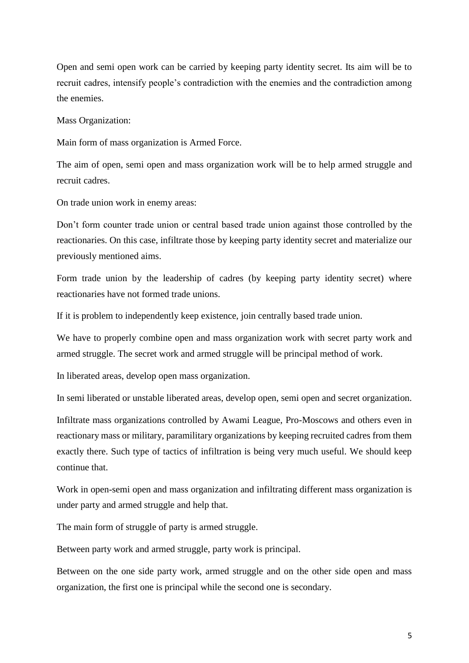Open and semi open work can be carried by keeping party identity secret. Its aim will be to recruit cadres, intensify people's contradiction with the enemies and the contradiction among the enemies.

Mass Organization:

Main form of mass organization is Armed Force.

The aim of open, semi open and mass organization work will be to help armed struggle and recruit cadres.

On trade union work in enemy areas:

Don't form counter trade union or central based trade union against those controlled by the reactionaries. On this case, infiltrate those by keeping party identity secret and materialize our previously mentioned aims.

Form trade union by the leadership of cadres (by keeping party identity secret) where reactionaries have not formed trade unions.

If it is problem to independently keep existence, join centrally based trade union.

We have to properly combine open and mass organization work with secret party work and armed struggle. The secret work and armed struggle will be principal method of work.

In liberated areas, develop open mass organization.

In semi liberated or unstable liberated areas, develop open, semi open and secret organization.

Infiltrate mass organizations controlled by Awami League, Pro-Moscows and others even in reactionary mass or military, paramilitary organizations by keeping recruited cadres from them exactly there. Such type of tactics of infiltration is being very much useful. We should keep continue that.

Work in open-semi open and mass organization and infiltrating different mass organization is under party and armed struggle and help that.

The main form of struggle of party is armed struggle.

Between party work and armed struggle, party work is principal.

Between on the one side party work, armed struggle and on the other side open and mass organization, the first one is principal while the second one is secondary.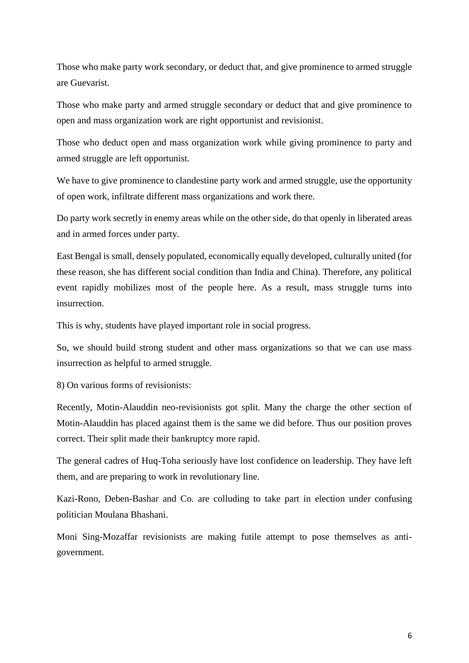Those who make party work secondary, or deduct that, and give prominence to armed struggle are Guevarist.

Those who make party and armed struggle secondary or deduct that and give prominence to open and mass organization work are right opportunist and revisionist.

Those who deduct open and mass organization work while giving prominence to party and armed struggle are left opportunist.

We have to give prominence to clandestine party work and armed struggle, use the opportunity of open work, infiltrate different mass organizations and work there.

Do party work secretly in enemy areas while on the other side, do that openly in liberated areas and in armed forces under party.

East Bengal is small, densely populated, economically equally developed, culturally united (for these reason, she has different social condition than India and China). Therefore, any political event rapidly mobilizes most of the people here. As a result, mass struggle turns into insurrection.

This is why, students have played important role in social progress.

So, we should build strong student and other mass organizations so that we can use mass insurrection as helpful to armed struggle.

8) On various forms of revisionists:

Recently, Motin-Alauddin neo-revisionists got split. Many the charge the other section of Motin-Alauddin has placed against them is the same we did before. Thus our position proves correct. Their split made their bankruptcy more rapid.

The general cadres of Huq-Toha seriously have lost confidence on leadership. They have left them, and are preparing to work in revolutionary line.

Kazi-Rono, Deben-Bashar and Co. are colluding to take part in election under confusing politician Moulana Bhashani.

Moni Sing-Mozaffar revisionists are making futile attempt to pose themselves as antigovernment.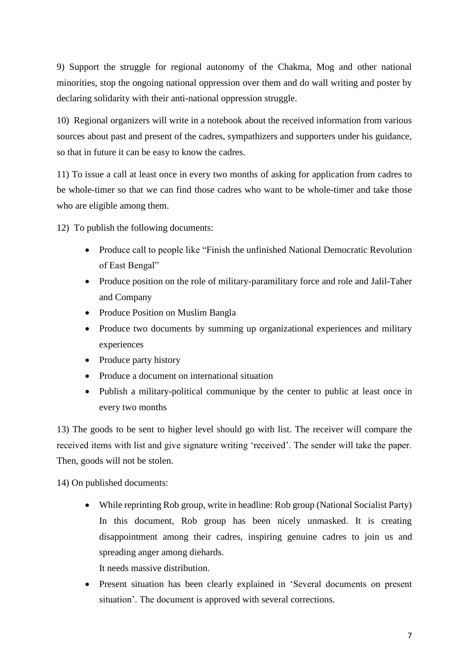9) Support the struggle for regional autonomy of the Chakma, Mog and other national minorities, stop the ongoing national oppression over them and do wall writing and poster by declaring solidarity with their anti-national oppression struggle.

10) Regional organizers will write in a notebook about the received information from various sources about past and present of the cadres, sympathizers and supporters under his guidance, so that in future it can be easy to know the cadres.

11) To issue a call at least once in every two months of asking for application from cadres to be whole-timer so that we can find those cadres who want to be whole-timer and take those who are eligible among them.

12) To publish the following documents:

- Produce call to people like "Finish the unfinished National Democratic Revolution of East Bengal"
- Produce position on the role of military-paramilitary force and role and Jalil-Taher and Company
- Produce Position on Muslim Bangla
- Produce two documents by summing up organizational experiences and military experiences
- Produce party history
- Produce a document on international situation
- Publish a military-political communique by the center to public at least once in every two months

13) The goods to be sent to higher level should go with list. The receiver will compare the received items with list and give signature writing 'received'. The sender will take the paper. Then, goods will not be stolen.

14) On published documents:

 While reprinting Rob group, write in headline: Rob group (National Socialist Party) In this document, Rob group has been nicely unmasked. It is creating disappointment among their cadres, inspiring genuine cadres to join us and spreading anger among diehards.

It needs massive distribution.

• Present situation has been clearly explained in 'Several documents on present situation'. The document is approved with several corrections.